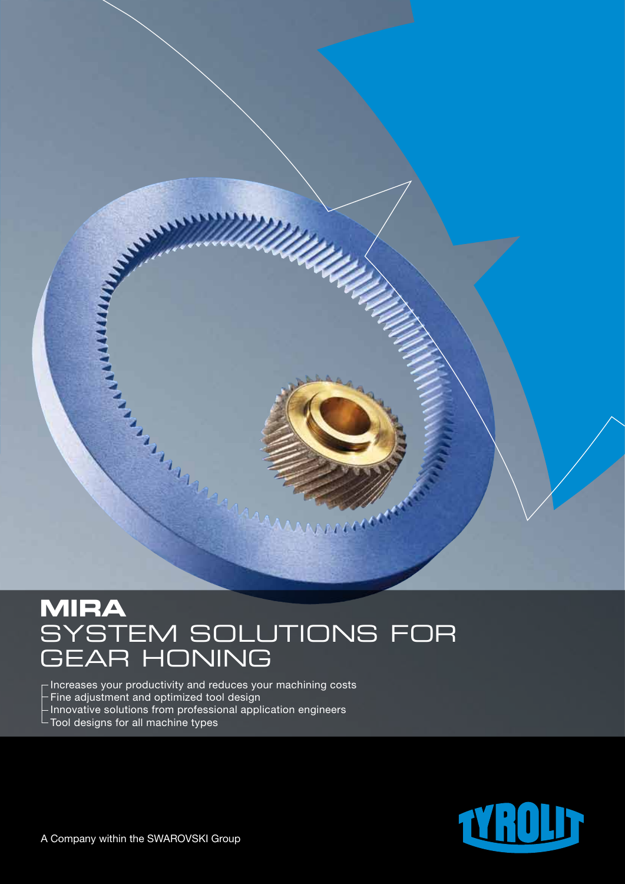

# **MIRA**  SYSTEM SOLUTIONS FOR GEAR HONING

 $\overline{\phantom{a}}$  Increases your productivity and reduces your machining costs  $-$  Fine adjustment and optimized tool design Innovative solutions from professional application engineers Tool designs for all machine types

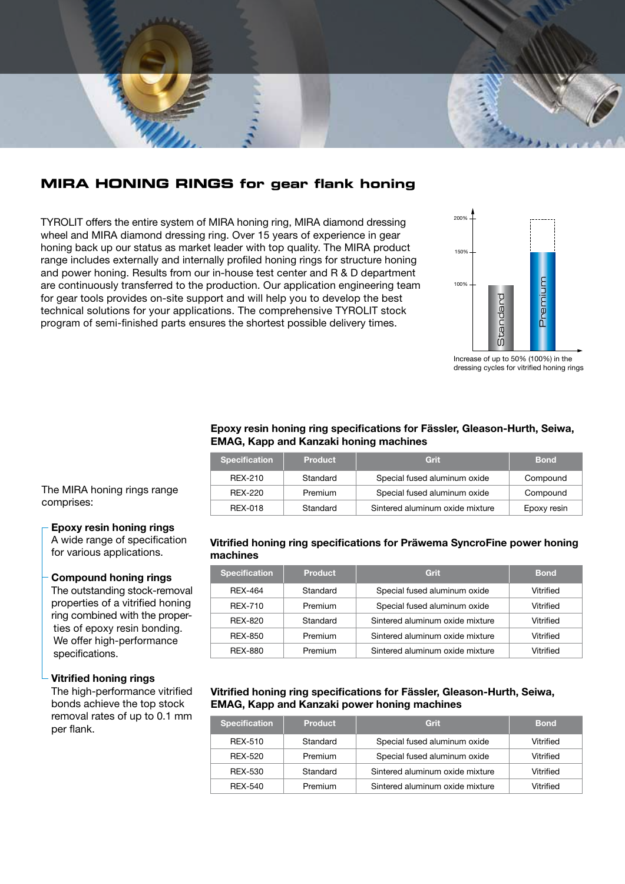

# **MIRA HONING RINGS for gear flank honing**

TYROLIT offers the entire system of MIRA honing ring, MIRA diamond dressing wheel and MIRA diamond dressing ring. Over 15 years of experience in gear honing back up our status as market leader with top quality. The MIRA product range includes externally and internally profiled honing rings for structure honing and power honing. Results from our in-house test center and R & D department are continuously transferred to the production. Our application engineering team for gear tools provides on-site support and will help you to develop the best technical solutions for your applications. The comprehensive TYROLIT stock program of semi-finished parts ensures the shortest possible delivery times.



Increase of up to 50% (100%) in the dressing cycles for vitrified honing rings

#### **Epoxy resin honing ring specifications for Fässler, Gleason-Hurth, Seiwa, EMAG, Kapp and Kanzaki honing machines**

| <b>Specification</b> | <b>Product</b> | Grit                            | <b>Bond</b> |
|----------------------|----------------|---------------------------------|-------------|
| RFX-210              | Standard       | Special fused aluminum oxide    | Compound    |
| RFX-220              | Premium        | Special fused aluminum oxide    | Compound    |
| REX-018              | Standard       | Sintered aluminum oxide mixture | Epoxy resin |

The MIRA honing rings range comprises:

## **Epoxy resin honing rings**

A wide range of specification for various applications.

#### **Compound honing rings**

The outstanding stock-removal properties of a vitrified honing ring combined with the properties of epoxy resin bonding. We offer high-performance specifications.

#### **Vitrified honing rings**

The high-performance vitrified bonds achieve the top stock removal rates of up to 0.1 mm per flank.

## **Vitrified honing ring specifications for Präwema SyncroFine power honing machines**

| <b>Specification</b> | <b>Product</b> | Grit                            | <b>Bond</b> |
|----------------------|----------------|---------------------------------|-------------|
| RFX-464              | Standard       | Special fused aluminum oxide    | Vitrified   |
| <b>RFX-710</b>       | Premium        | Special fused aluminum oxide    | Vitrified   |
| RFX-820              | Standard       | Sintered aluminum oxide mixture | Vitrified   |
| REX-850              | Premium        | Sintered aluminum oxide mixture | Vitrified   |
| REX-880              | Premium        | Sintered aluminum oxide mixture | Vitrified   |

### **Vitrified honing ring specifications for Fässler, Gleason-Hurth, Seiwa, EMAG, Kapp and Kanzaki power honing machines**

| <b>Specification</b> | <b>Product</b> | Grit                            | <b>Bond</b> |
|----------------------|----------------|---------------------------------|-------------|
| REX-510              | Standard       | Special fused aluminum oxide    | Vitrified   |
| REX-520              | Premium        | Special fused aluminum oxide    | Vitrified   |
| REX-530              | Standard       | Sintered aluminum oxide mixture | Vitrified   |
| RFX-540              | Premium        | Sintered aluminum oxide mixture | Vitrified   |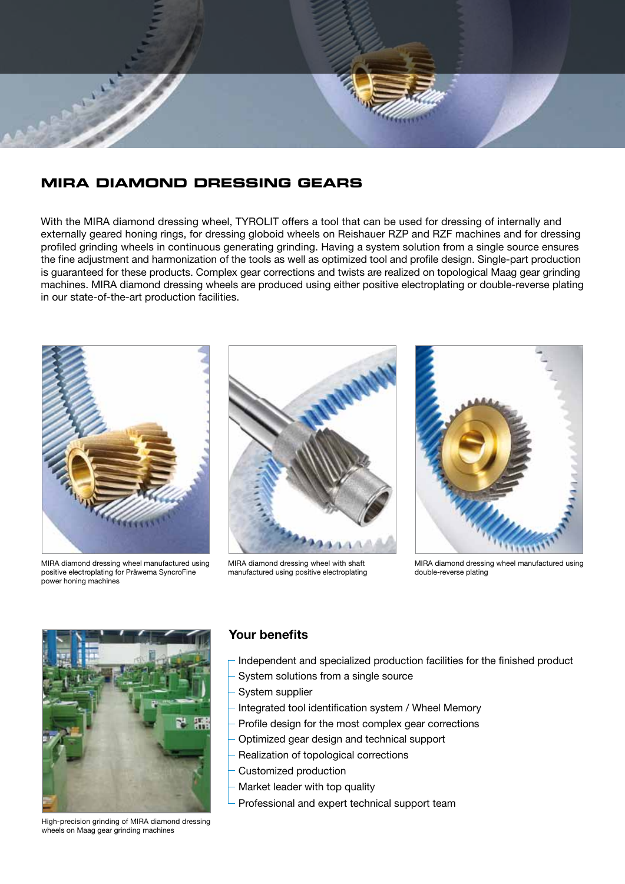

# **MIRA DIAMOND DRESSING GEARS**

With the MIRA diamond dressing wheel, TYROLIT offers a tool that can be used for dressing of internally and externally geared honing rings, for dressing globoid wheels on Reishauer RZP and RZF machines and for dressing profiled grinding wheels in continuous generating grinding. Having a system solution from a single source ensures the fine adjustment and harmonization of the tools as well as optimized tool and profile design. Single-part production is guaranteed for these products. Complex gear corrections and twists are realized on topological Maag gear grinding machines. MIRA diamond dressing wheels are produced using either positive electroplating or double-reverse plating in our state-of-the-art production facilities.



MIRA diamond dressing wheel manufactured using positive electroplating for Präwema SyncroFine power honing machines



MIRA diamond dressing wheel with shaft manufactured using positive electroplating



MIRA diamond dressing wheel manufactured using double-reverse plating



High-precision grinding of MIRA diamond dressing wheels on Maag gear grinding machines

# **Your benefits**

- Independent and specialized production facilities for the finished product
- System solutions from a single source
- System supplier
- Integrated tool identification system / Wheel Memory
- Profile design for the most complex gear corrections
- Optimized gear design and technical support
- Realization of topological corrections
- Customized production
- Market leader with top quality
- Professional and expert technical support team